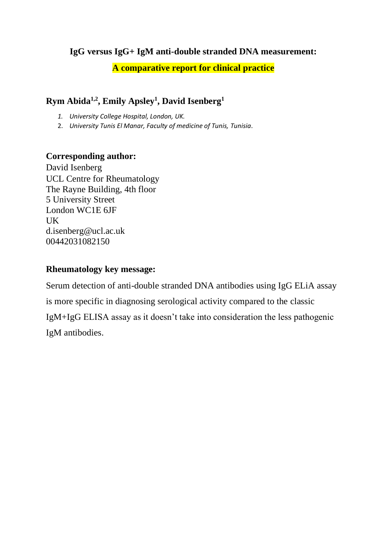### **IgG versus IgG+ IgM anti-double stranded DNA measurement:**

#### **A comparative report for clinical practice**

## **Rym Abida1,2, Emily Apsley<sup>1</sup> , David Isenberg<sup>1</sup>**

- *1. University College Hospital, London, UK.*
- 2. *University Tunis El Manar, Faculty of medicine of Tunis, Tunisia*.

#### **Corresponding author:**

David Isenberg UCL Centre for Rheumatology The Rayne Building, 4th floor 5 University Street London WC1E 6JF UK d.isenberg@ucl.ac.uk 00442031082150

### **Rheumatology key message:**

Serum detection of anti-double stranded DNA antibodies using IgG ELiA assay is more specific in diagnosing serological activity compared to the classic IgM+IgG ELISA assay as it doesn't take into consideration the less pathogenic IgM antibodies.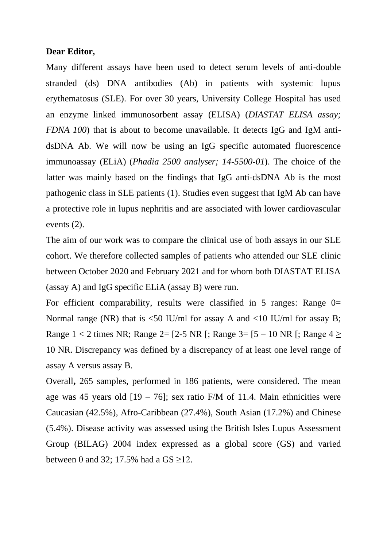#### **Dear Editor,**

Many different assays have been used to detect serum levels of anti-double stranded (ds) DNA antibodies (Ab) in patients with systemic lupus erythematosus (SLE). For over 30 years, University College Hospital has used an enzyme linked immunosorbent assay (ELISA) (*DIASTAT ELISA assay; FDNA 100*) that is about to become unavailable. It detects IgG and IgM antidsDNA Ab. We will now be using an IgG specific automated fluorescence immunoassay (ELiA) (*Phadia 2500 analyser; 14-5500-01*). The choice of the latter was mainly based on the findings that IgG anti-dsDNA Ab is the most pathogenic class in SLE patients (1). Studies even suggest that IgM Ab can have a protective role in lupus nephritis and are associated with lower cardiovascular events (2).

The aim of our work was to compare the clinical use of both assays in our SLE cohort. We therefore collected samples of patients who attended our SLE clinic between October 2020 and February 2021 and for whom both DIASTAT ELISA (assay A) and IgG specific ELiA (assay B) were run.

For efficient comparability, results were classified in 5 ranges: Range  $0=$ Normal range (NR) that is  $\leq 50$  IU/ml for assay A and  $\leq 10$  IU/ml for assay B; Range  $1 < 2$  times NR; Range  $2 = [2-5 \text{ NR}]$ ; Range  $3 = [5 - 10 \text{ NR}]$ ; Range  $4 \ge$ 10 NR. Discrepancy was defined by a discrepancy of at least one level range of assay A versus assay B.

Overall**,** 265 samples, performed in 186 patients, were considered. The mean age was 45 years old  $[19 - 76]$ ; sex ratio F/M of 11.4. Main ethnicities were Caucasian (42.5%), Afro-Caribbean (27.4%), South Asian (17.2%) and Chinese (5.4%). Disease activity was assessed using the British Isles Lupus Assessment Group (BILAG) 2004 index expressed as a global score (GS) and varied between 0 and 32; 17.5% had a  $GS \ge 12$ .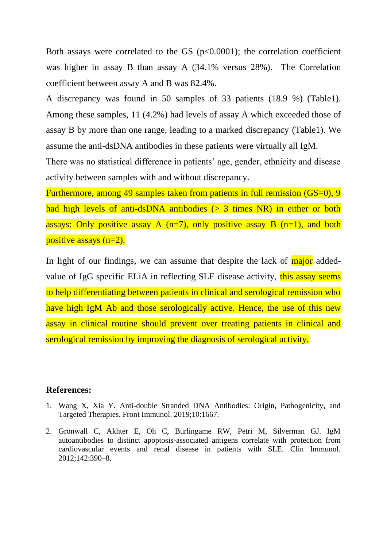Both assays were correlated to the GS  $(p<0.0001)$ ; the correlation coefficient was higher in assay B than assay A (34.1% versus 28%). The Correlation coefficient between assay A and B was 82.4%.

A discrepancy was found in 50 samples of 33 patients (18.9 %) (Table1). Among these samples, 11 (4.2%) had levels of assay A which exceeded those of assay B by more than one range, leading to a marked discrepancy (Table1). We assume the anti-dsDNA antibodies in these patients were virtually all IgM.

There was no statistical difference in patients' age, gender, ethnicity and disease activity between samples with and without discrepancy.

Furthermore, among 49 samples taken from patients in full remission (GS=0), 9 had high levels of anti-dsDNA antibodies  $(> 3$  times NR) in either or both assays: Only positive assay A ( $n=7$ ), only positive assay B ( $n=1$ ), and both positive assays (n=2).

In light of our findings, we can assume that despite the lack of major addedvalue of IgG specific ELiA in reflecting SLE disease activity, this assay seems to help differentiating between patients in clinical and serological remission who have high IgM Ab and those serologically active. Hence, the use of this new assay in clinical routine should prevent over treating patients in clinical and serological remission by improving the diagnosis of serological activity.

#### **References:**

- 1. Wang X, Xia Y. Anti-double Stranded DNA Antibodies: Origin, Pathogenicity, and Targeted Therapies. Front Immunol. 2019;10:1667.
- 2. Grönwall C, Akhter E, Oh C, Burlingame RW, Petri M, Silverman GJ. IgM autoantibodies to distinct apoptosis-associated antigens correlate with protection from cardiovascular events and renal disease in patients with SLE. Clin Immunol. 2012;142:390–8.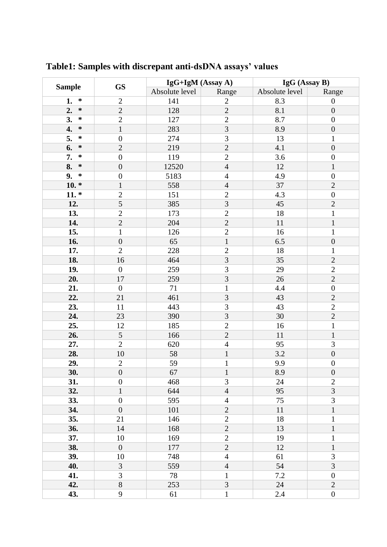| <b>Sample</b> | <b>GS</b>        | IgG+IgM (Assay A) |                | IgG (Assay B)  |                  |
|---------------|------------------|-------------------|----------------|----------------|------------------|
|               |                  | Absolute level    | Range          | Absolute level | Range            |
| $\ast$<br>1.  | $\overline{2}$   | 141               | $\overline{2}$ | 8.3            | $\boldsymbol{0}$ |
| $\ast$<br>2.  | $\overline{2}$   | 128               | $\overline{2}$ | 8.1            | $\boldsymbol{0}$ |
| 3.<br>$\ast$  | $\overline{2}$   | 127               | $\overline{2}$ | 8.7            | $\overline{0}$   |
| 4.<br>$\ast$  | $\mathbf{1}$     | 283               | $\overline{3}$ | 8.9            | $\boldsymbol{0}$ |
| $\ast$<br>5.  | $\boldsymbol{0}$ | 274               | 3              | 13             | $\mathbf{1}$     |
| 6.<br>$\ast$  | $\overline{2}$   | 219               | $\overline{2}$ | 4.1            | $\boldsymbol{0}$ |
| $\ast$<br>7.  | $\boldsymbol{0}$ | 119               | $\overline{2}$ | 3.6            | $\boldsymbol{0}$ |
| 8.<br>$\ast$  | $\boldsymbol{0}$ | 12520             | $\overline{4}$ | 12             | $\mathbf{1}$     |
| 9.<br>$\ast$  | $\boldsymbol{0}$ | 5183              | $\overline{4}$ | 4.9            | $\boldsymbol{0}$ |
| $10.*$        | $\mathbf{1}$     | 558               | $\overline{4}$ | 37             | $\overline{2}$   |
| $11.*$        | $\overline{2}$   | 151               | $\mathbf{2}$   | 4.3            | $\boldsymbol{0}$ |
| 12.           | $\overline{5}$   | 385               | 3              | 45             | $\sqrt{2}$       |
| 13.           | $\overline{2}$   | 173               | $\overline{2}$ | 18             | $\mathbf{1}$     |
| 14.           | $\overline{2}$   | 204               | $\overline{2}$ | 11             | $\mathbf{1}$     |
| 15.           | $\mathbf{1}$     | 126               | $\overline{2}$ | 16             | $\mathbf{1}$     |
| 16.           | $\overline{0}$   | 65                | $\mathbf 1$    | 6.5            | $\boldsymbol{0}$ |
| 17.           | $\overline{2}$   | 228               | $\mathbf{2}$   | 18             | $\mathbf{1}$     |
| 18.           | 16               | 464               | 3              | 35             | $\overline{2}$   |
| 19.           | $\boldsymbol{0}$ | 259               | 3              | 29             | $\sqrt{2}$       |
| 20.           | 17               | 259               | 3              | 26             | $\overline{2}$   |
| 21.           | $\boldsymbol{0}$ | 71                | $\mathbf{1}$   | 4.4            | $\boldsymbol{0}$ |
| 22.           | 21               | 461               | $\overline{3}$ | 43             | $\mathbf{2}$     |
| 23.           | 11               | 443               | 3              | 43             | $\overline{2}$   |
| 24.           | 23               | 390               | $\overline{3}$ | 30             | $\overline{2}$   |
| 25.           | 12               | 185               | $\overline{2}$ | 16             | $\mathbf{1}$     |
| 26.           | 5                | 166               | $\overline{2}$ | 11             | $\mathbf 1$      |
| 27.           | $\overline{2}$   | 620               | $\overline{4}$ | 95             | 3                |
| 28.           | $10\,$           | 58                | $\mathbf{1}$   | 3.2            | $\boldsymbol{0}$ |
| 29.           | $\sqrt{2}$       | 59                | $\mathbf{1}$   | 9.9            | $\boldsymbol{0}$ |
| 30.           | $\boldsymbol{0}$ | 67                | 1              | 8.9            | $\boldsymbol{0}$ |
| 31.           | $\boldsymbol{0}$ | 468               | 3              | 24             | $\overline{2}$   |
| 32.           | $\mathbf{1}$     | 644               | $\overline{4}$ | 95             | $\overline{3}$   |
| 33.           | $\boldsymbol{0}$ | 595               | $\overline{4}$ | 75             | 3                |
| 34.           | $\boldsymbol{0}$ | 101               | $\overline{2}$ | 11             | $\mathbf{1}$     |
| 35.           | 21               | 146               | $\overline{2}$ | 18             | $\mathbf{1}$     |
| 36.           | 14               | 168               | $\overline{2}$ | 13             | $\mathbf 1$      |
| 37.           | 10               | 169               | $\overline{2}$ | 19             | 1                |
| 38.           | $\boldsymbol{0}$ | 177               | $\overline{2}$ | 12             | $\mathbf{1}$     |
| 39.           | 10               | 748               | $\overline{4}$ | 61             | 3                |
| 40.           | 3                | 559               | $\overline{4}$ | 54             | 3                |
| 41.           | 3                | 78                | $\mathbf{1}$   | 7.2            | $\boldsymbol{0}$ |
| 42.           | 8                | 253               | 3              | 24             | $\overline{2}$   |
| 43.           | 9                | 61                | $\mathbf{1}$   | 2.4            | $\boldsymbol{0}$ |

**Table1: Samples with discrepant anti-dsDNA assays' values**